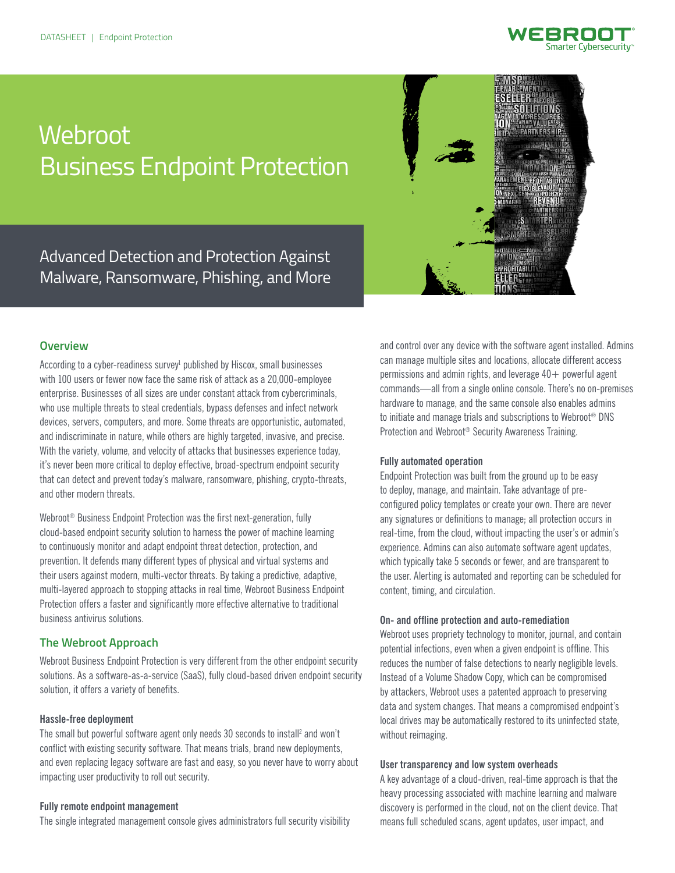

# **Webroot** Business Endpoint Protection

Advanced Detection and Protection Against Malware, Ransomware, Phishing, and More



# **Overview**

According to a cyber-readiness survey<sup>1</sup> published by Hiscox, small businesses with 100 users or fewer now face the same risk of attack as a 20,000-employee enterprise. Businesses of all sizes are under constant attack from cybercriminals, who use multiple threats to steal credentials, bypass defenses and infect network devices, servers, computers, and more. Some threats are opportunistic, automated, and indiscriminate in nature, while others are highly targeted, invasive, and precise. With the variety, volume, and velocity of attacks that businesses experience today, it's never been more critical to deploy effective, broad-spectrum endpoint security that can detect and prevent today's malware, ransomware, phishing, crypto-threats, and other modern threats.

Webroot® Business Endpoint Protection was the first next-generation, fully cloud-based endpoint security solution to harness the power of machine learning to continuously monitor and adapt endpoint threat detection, protection, and prevention. It defends many different types of physical and virtual systems and their users against modern, multi-vector threats. By taking a predictive, adaptive, multi-layered approach to stopping attacks in real time, Webroot Business Endpoint Protection offers a faster and significantly more effective alternative to traditional business antivirus solutions.

# **The Webroot Approach**

Webroot Business Endpoint Protection is very different from the other endpoint security solutions. As a software-as-a-service (SaaS), fully cloud-based driven endpoint security solution, it offers a variety of benefits.

### **Hassle-free deployment**

The small but powerful software agent only needs 30 seconds to install<sup>2</sup> and won't conflict with existing security software. That means trials, brand new deployments, and even replacing legacy software are fast and easy, so you never have to worry about impacting user productivity to roll out security.

#### **Fully remote endpoint management**

The single integrated management console gives administrators full security visibility

and control over any device with the software agent installed. Admins can manage multiple sites and locations, allocate different access permissions and admin rights, and leverage  $40+$  powerful agent commands—all from a single online console. There's no on-premises hardware to manage, and the same console also enables admins to initiate and manage trials and subscriptions to Webroot® DNS Protection and Webroot® Security Awareness Training.

## **Fully automated operation**

Endpoint Protection was built from the ground up to be easy to deploy, manage, and maintain. Take advantage of preconfigured policy templates or create your own. There are never any signatures or definitions to manage; all protection occurs in real-time, from the cloud, without impacting the user's or admin's experience. Admins can also automate software agent updates, which typically take 5 seconds or fewer, and are transparent to the user. Alerting is automated and reporting can be scheduled for content, timing, and circulation.

### **On- and offline protection and auto-remediation**

Webroot uses propriety technology to monitor, journal, and contain potential infections, even when a given endpoint is offline. This reduces the number of false detections to nearly negligible levels. Instead of a Volume Shadow Copy, which can be compromised by attackers, Webroot uses a patented approach to preserving data and system changes. That means a compromised endpoint's local drives may be automatically restored to its uninfected state, without reimaging.

## **User transparency and low system overheads**

A key advantage of a cloud-driven, real-time approach is that the heavy processing associated with machine learning and malware discovery is performed in the cloud, not on the client device. That means full scheduled scans, agent updates, user impact, and